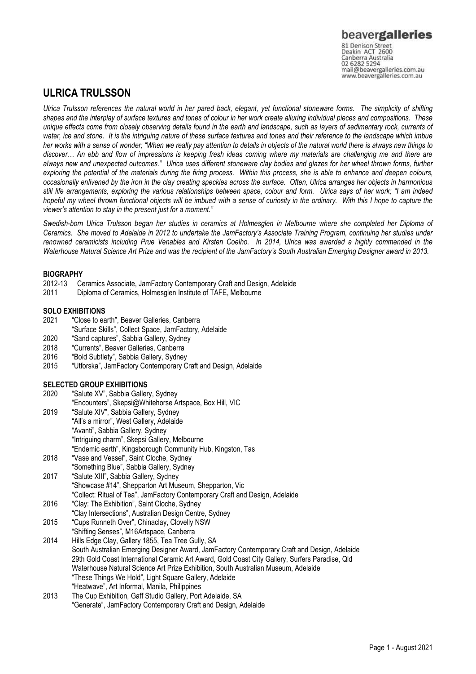www.beavergalleries.com.au

# **ULRICA TRULSSON**

*Ulrica Trulsson references the natural world in her pared back, elegant, yet functional stoneware forms. The simplicity of shifting shapes and the interplay of surface textures and tones of colour in her work create alluring individual pieces and compositions. These unique effects come from closely observing details found in the earth and landscape, such as layers of sedimentary rock, currents of water, ice and stone. It is the intriguing nature of these surface textures and tones and their reference to the landscape which imbue*  her works with a sense of wonder; "When we really pay attention to details in objects of the natural world there is always new things to *discover… An ebb and flow of impressions is keeping fresh ideas coming where my materials are challenging me and there are always new and unexpected outcomes." Ulrica uses different stoneware clay bodies and glazes for her wheel thrown forms, further exploring the potential of the materials during the firing process. Within this process, she is able to enhance and deepen colours, occasionally enlivened by the iron in the clay creating speckles across the surface. Often, Ulrica arranges her objects in harmonious still life arrangements, exploring the various relationships between space, colour and form. Ulrica says of her work; "I am indeed hopeful my wheel thrown functional objects will be imbued with a sense of curiosity in the ordinary. With this I hope to capture the viewer's attention to stay in the present just for a moment."*

*Swedish-born Ulrica Trulsson began her studies in ceramics at Holmesglen in Melbourne where she completed her Diploma of Ceramics. She moved to Adelaide in 2012 to undertake the JamFactory's Associate Training Program, continuing her studies under renowned ceramicists including Prue Venables and Kirsten Coelho. In 2014, Ulrica was awarded a highly commended in the Waterhouse Natural Science Art Prize and was the recipient of the JamFactory's South Australian Emerging Designer award in 2013.*

## **BIOGRAPHY**

- 2012-13 Ceramics Associate, JamFactory Contemporary Craft and Design, Adelaide
- Diploma of Ceramics, Holmesglen Institute of TAFE, Melbourne

# **SOLO EXHIBITIONS**<br>2021 "Close to ea

- "Close to earth", Beaver Galleries, Canberra
- "Surface Skills", Collect Space, JamFactory, Adelaide
- 2020 "Sand captures", Sabbia Gallery, Sydney
- 2018 "Currents", Beaver Galleries, Canberra
- 2016 "Bold Subtlety", Sabbia Gallery, Sydney
- 2015 "Utforska", JamFactory Contemporary Craft and Design, Adelaide

### **SELECTED GROUP EXHIBITIONS**

| 2020 | "Salute XV", Sabbia Gallery, Sydney                                                             |
|------|-------------------------------------------------------------------------------------------------|
|      | "Encounters", Skepsi@Whitehorse Artspace, Box Hill, VIC                                         |
| 2019 | "Salute XIV", Sabbia Gallery, Sydney                                                            |
|      | "All's a mirror", West Gallery, Adelaide                                                        |
|      | "Avanti", Sabbia Gallery, Sydney                                                                |
|      | "Intriguing charm", Skepsi Gallery, Melbourne                                                   |
|      | "Endemic earth", Kingsborough Community Hub, Kingston, Tas                                      |
| 2018 | "Vase and Vessel", Saint Cloche, Sydney                                                         |
|      | "Something Blue", Sabbia Gallery, Sydney                                                        |
| 2017 | "Salute XIII", Sabbia Gallery, Sydney                                                           |
|      | "Showcase #14", Shepparton Art Museum, Shepparton, Vic                                          |
|      | "Collect: Ritual of Tea", JamFactory Contemporary Craft and Design, Adelaide                    |
| 2016 | "Clay: The Exhibition", Saint Cloche, Sydney                                                    |
|      | "Clay Intersections", Australian Design Centre, Sydney                                          |
| 2015 | "Cups Runneth Over", Chinaclay, Clovelly NSW                                                    |
|      | "Shifting Senses", M16Artspace, Canberra                                                        |
| 2014 | Hills Edge Clay, Gallery 1855, Tea Tree Gully, SA                                               |
|      | South Australian Emerging Designer Award, JamFactory Contemporary Craft and Design, Adelaide    |
|      | 29th Gold Coast International Ceramic Art Award, Gold Coast City Gallery, Surfers Paradise, Qld |
|      | Waterhouse Natural Science Art Prize Exhibition. South Australian Museum, Adelaide              |

- "These Things We Hold", Light Square Gallery, Adelaide
- "Heatwave", Art Informal, Manila, Philippines
- 2013 The Cup Exhibition, Gaff Studio Gallery, Port Adelaide, SA "Generate", JamFactory Contemporary Craft and Design, Adelaide